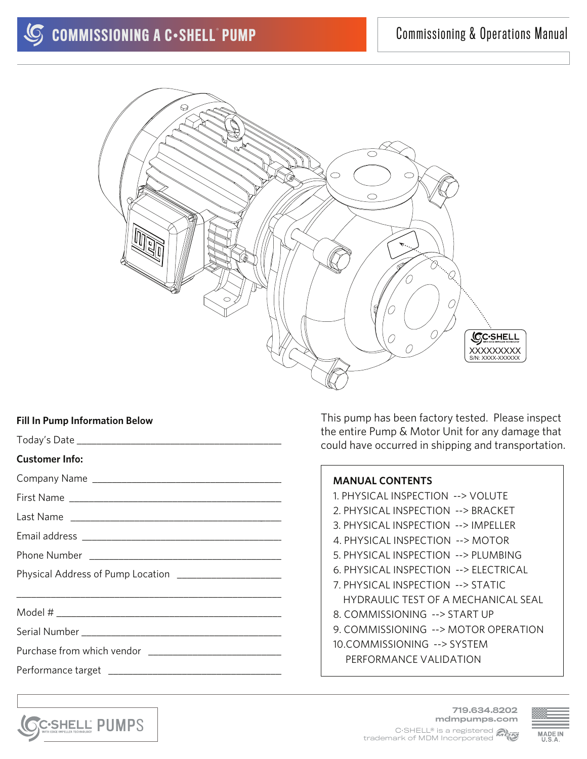

## **Fill In Pump Information Below**

|                                                         | the entire Pump & Motor Unit for any damage that<br>could have occurred in shipping and transportation. |
|---------------------------------------------------------|---------------------------------------------------------------------------------------------------------|
| <b>Customer Info:</b>                                   |                                                                                                         |
|                                                         | <b>MANUAL CONTENTS</b>                                                                                  |
|                                                         | 1. PHYSICAL INSPECTION --> VOLUTE                                                                       |
|                                                         | 2. PHYSICAL INSPECTION --> BRACKET                                                                      |
|                                                         | 3. PHYSICAL INSPECTION --> IMPELLER                                                                     |
|                                                         | 4. PHYSICAL INSPECTION --> MOTOR                                                                        |
|                                                         | 5. PHYSICAL INSPECTION --> PLUMBING                                                                     |
| Physical Address of Pump Location _____________________ | 6. PHYSICAL INSPECTION --> ELECTRICAL                                                                   |
|                                                         | 7. PHYSICAL INSPECTION --> STATIC                                                                       |
|                                                         | <b>HYDRAULIC TEST OF A MECHANICAL SEAL</b>                                                              |
|                                                         | 8. COMMISSIONING --> START UP                                                                           |
|                                                         | 9. COMMISSIONING --> MOTOR OPERATION                                                                    |
|                                                         | 10.COMMISSIONING --> SYSTEM                                                                             |
|                                                         | PERFORMANCE VALIDATION                                                                                  |
|                                                         |                                                                                                         |



This pump has been factory tested. Please inspect

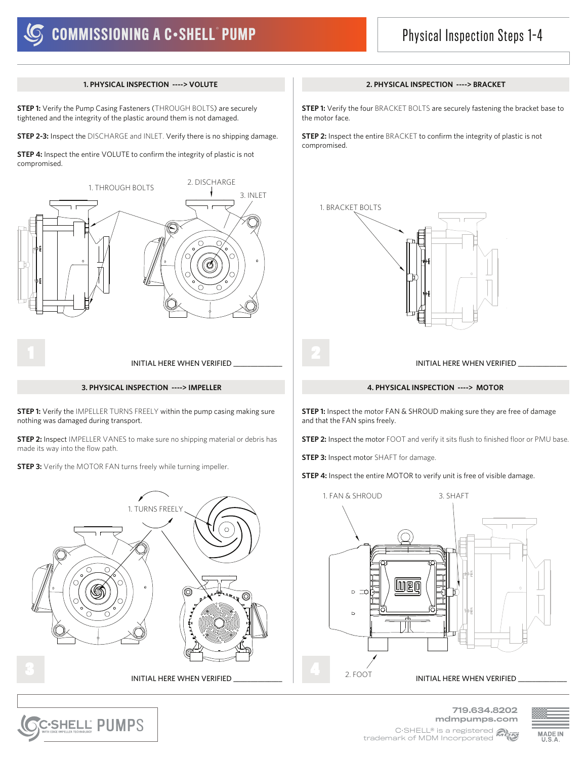## Physical Inspection Steps 1-4

### **1. PHYSICAL INSPECTION ----> VOLUTE 2. PHYSICAL INSPECTION ----> BRACKET**

**STEP 1:** Verify the Pump Casing Fasteners (THROUGH BOLTS) are securely tightened and the integrity of the plastic around them is not damaged.

**STEP 2-3:** Inspect the DISCHARGE and INLET. Verify there is no shipping damage.

**STEP 4:** Inspect the entire VOLUTE to confirm the integrity of plastic is not compromised.



**STEP 1:** Verify the IMPELLER TURNS FREELY within the pump casing making sure nothing was damaged during transport.

**STEP 2:** Inspect IMPELLER VANES to make sure no shipping material or debris has made its way into the flow path.

**STEP 3:** Verify the MOTOR FAN turns freely while turning impeller.



PUMPS ®

**STEP 1:** Verify the four BRACKET BOLTS are securely fastening the bracket base to the motor face.

**STEP 2:** Inspect the entire BRACKET to confirm the integrity of plastic is not compromised.



and that the FAN spins freely.

**STEP 2:** Inspect the motor FOOT and verify it sits flush to finished floor or PMU base.





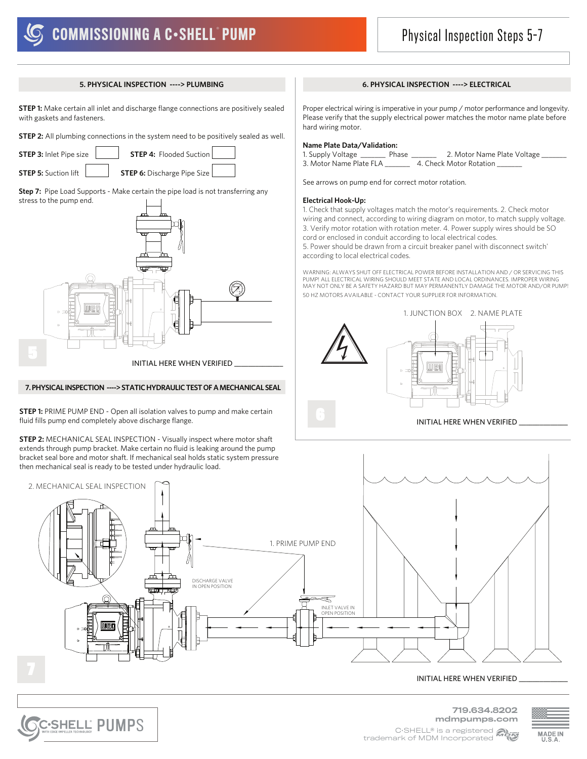# **COMMISSIONING A C-SHELL PUMP**

## Physical Inspection Steps 5-7

**STEP 1:** Make certain all inlet and discharge flange connections are positively sealed with gaskets and fasteners.

**STEP 2:** All plumbing connections in the system need to be positively sealed as well.

**STEP 3:** Inlet Pipe size **STEP 4:** Flooded Suction

**STEP 5:** Suction lift **STEP 6:** Discharge Pipe Size

**Step 7:** Pipe Load Supports - Make certain the pipe load is not transferring any stress to the pump end.



#### **7. PHYSICAL INSPECTION ----> STATIC HYDRAULIC TEST OF A MECHANICAL SEAL**

**STEP 1:** PRIME PUMP END - Open all isolation valves to pump and make certain fluid fills pump end completely above discharge flange.

**STEP 2:** MECHANICAL SEAL INSPECTION - Visually inspect where motor shaft extends through pump bracket. Make certain no fluid is leaking around the pump bracket seal bore and motor shaft. If mechanical seal holds static system pressure then mechanical seal is ready to be tested under hydraulic load.

PUMPS ®

#### **5. PHYSICAL INSPECTION ----> PLUMBING 6. PHYSICAL INSPECTION ----> ELECTRICAL**

Proper electrical wiring is imperative in your pump / motor performance and longevity. Please verify that the supply electrical power matches the motor name plate before hard wiring motor.

#### **Name Plate Data/Validation:**

1. Supply Voltage \_\_\_\_\_\_\_ Phase \_\_\_\_\_\_\_ 2. Motor Name Plate Voltage \_\_\_\_\_\_\_ 3. Motor Name Plate FLA \_\_\_\_\_\_\_ 4. Check Motor Rotation \_\_\_\_\_\_\_

See arrows on pump end for correct motor rotation.

#### **Electrical Hook-Up:**

1. Check that supply voltages match the motor's requirements. 2. Check motor wiring and connect, according to wiring diagram on motor, to match supply voltage. 3. Verify motor rotation with rotation meter. 4. Power supply wires should be SO cord or enclosed in conduit according to local electrical codes. 5. Power should be drawn from a circuit breaker panel with disconnect switch'

according to local electrical codes.

WARNING: ALWAYS SHUT OFF ELECTRICAL POWER BEFORE INSTALLATION AND / OR SERVICING THIS PUMP! ALL ELECTRICAL WIRING SHOULD MEET STATE AND LOCAL ORDINANCES. IMPROPER WIRING MAY NOT ONLY BE A SAFETY HAZARD BUT MAY PERMANENTLY DAMAGE THE MOTOR AND/OR PUMP! 50 HZ MOTORS AVAILABLE - CONTACT YOUR SUPPLIER FOR INFORMATION.





### INITIAL HERE WHEN VERIFIED

719.634.8202 mdmpumps.com

C•SHELL® is a registered **Many** trademark of MDM Incorporated